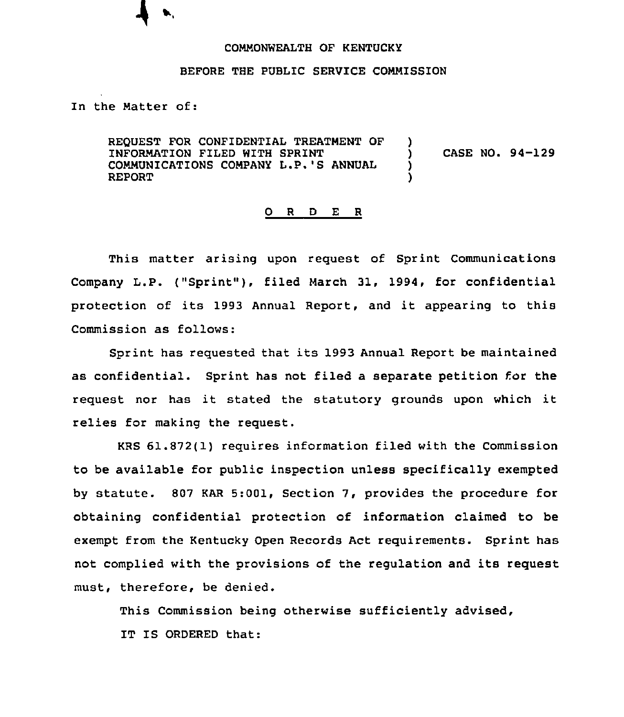## COMMONWEALTH OF KENTUCKY

## BEFORE THE PUBLIC SERVICE COMMISSION

In the Matter of:

REQUEST FOR CONFIDENTIAL TREATMENT OF INFORMATION FILED WITH SPRINT COMMUNICATIONS COMPANY L.P.'S ANNUAL REPORT )<br>) ) CASE NO. 94-129 ) )

## 0 <sup>R</sup> <sup>D</sup> E <sup>R</sup>

This matter arising upon request of Sprint Communications Company L.P. ("Sprint"), filed March 31, 1994, for confidential protection of its 1993 Annual Report, and it appearing to this Commission as follows:

Sprint has requested that its 1993 Annual Report be maintained as confidential. Sprint has not filed a separate petition for the request nor has it stated the statutory grounds upon which it relies for making the request.

KRS 61.872(1) requires information filed with the Commission to be available for public inspection unless specifically exempted by statute. 807 KAR 5:001, Section 7, provides the procedure for obtaining confidential protection of information claimed to be exempt from the Kentucky Open Records Act requirements. Sprint has not complied with the provisions of the regulation and its request must, therefore, be denied.

This Commission being otherwise sufficiently advised,

IT IS ORDERED that: